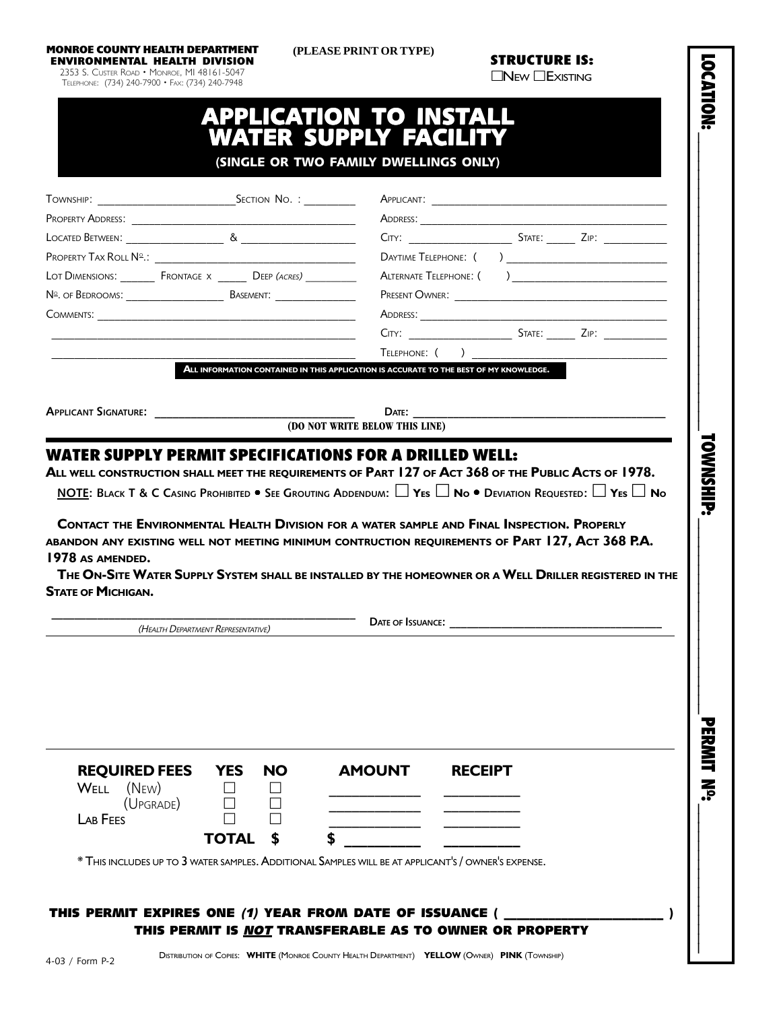**MONROE COUNTY HEALTH DEPARTMENT**

 **(PLEASE PRINT OR TYPE)**

|                                                                       | LOT DIMENSIONS: __________ FRONTAGE X ________ DEEP (ACRES) ____________ |                                                                                                                                                                                                                                                                                                                                                                                                                                                                                                                                                             |  |
|-----------------------------------------------------------------------|--------------------------------------------------------------------------|-------------------------------------------------------------------------------------------------------------------------------------------------------------------------------------------------------------------------------------------------------------------------------------------------------------------------------------------------------------------------------------------------------------------------------------------------------------------------------------------------------------------------------------------------------------|--|
|                                                                       |                                                                          |                                                                                                                                                                                                                                                                                                                                                                                                                                                                                                                                                             |  |
|                                                                       |                                                                          |                                                                                                                                                                                                                                                                                                                                                                                                                                                                                                                                                             |  |
|                                                                       |                                                                          |                                                                                                                                                                                                                                                                                                                                                                                                                                                                                                                                                             |  |
|                                                                       |                                                                          |                                                                                                                                                                                                                                                                                                                                                                                                                                                                                                                                                             |  |
|                                                                       |                                                                          | ALL INFORMATION CONTAINED IN THIS APPLICATION IS ACCURATE TO THE BEST OF MY KNOWLEDGE.                                                                                                                                                                                                                                                                                                                                                                                                                                                                      |  |
|                                                                       |                                                                          |                                                                                                                                                                                                                                                                                                                                                                                                                                                                                                                                                             |  |
|                                                                       |                                                                          |                                                                                                                                                                                                                                                                                                                                                                                                                                                                                                                                                             |  |
|                                                                       |                                                                          | (DO NOT WRITE BELOW THIS LINE)<br><b>WATER SUPPLY PERMIT SPECIFICATIONS FOR A DRILLED WELL:</b><br>ALL WELL CONSTRUCTION SHALL MEET THE REQUIREMENTS OF PART 127 OF ACT 368 OF THE PUBLIC ACTS OF 1978.<br>NOTE: BLACK T & C CASING PROHIBITED $\bullet$ See Grouting Addendum: $\Box$ Yes $\Box$ No $\bullet$ Deviation Requested: $\Box$ Yes $\Box$ No<br>CONTACT THE ENVIRONMENTAL HEALTH DIVISION FOR A WATER SAMPLE AND FINAL INSPECTION. PROPERLY<br>ABANDON ANY EXISTING WELL NOT MEETING MINIMUM CONTRUCTION REQUIREMENTS OF PART 127, ACT 368 P.A. |  |
| APPLICANT SIGNATURE:<br>1978 AS AMENDED.<br><b>STATE OF MICHIGAN.</b> |                                                                          | THE ON-SITE WATER SUPPLY SYSTEM SHALL BE INSTALLED BY THE HOMEOWNER OR A WELL DRILLER REGISTERED IN THE<br>DATE OF ISSUANCE:                                                                                                                                                                                                                                                                                                                                                                                                                                |  |
|                                                                       | (HEALTH DEPARTMENT REPRESENTATIVE)                                       |                                                                                                                                                                                                                                                                                                                                                                                                                                                                                                                                                             |  |
|                                                                       |                                                                          |                                                                                                                                                                                                                                                                                                                                                                                                                                                                                                                                                             |  |
| <b>REQUIRED FEES</b><br>(New)<br>WELL                                 | <b>YES</b><br><b>NO</b>                                                  | <b>AMOUNT</b><br><b>RECEIPT</b>                                                                                                                                                                                                                                                                                                                                                                                                                                                                                                                             |  |
| (UPGRADE)                                                             |                                                                          |                                                                                                                                                                                                                                                                                                                                                                                                                                                                                                                                                             |  |
| LAB FEES                                                              | <b>TOTAL</b>                                                             |                                                                                                                                                                                                                                                                                                                                                                                                                                                                                                                                                             |  |